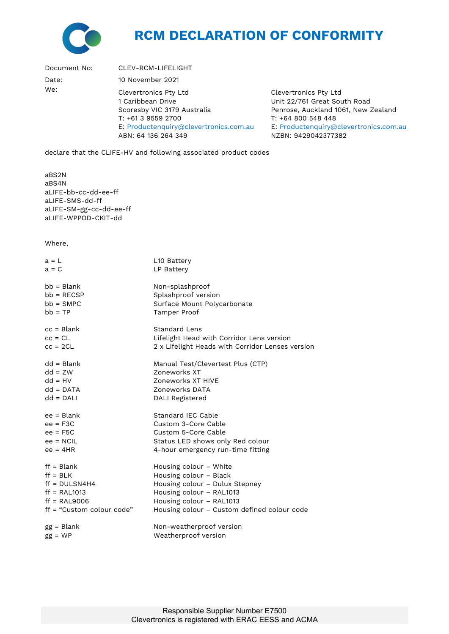

## **RCM DECLARATION OF CONFORMITY**

Document No: CLEV-RCM-LIFELIGHT Date: 10 November 2021 We: Clevertronics Pty Ltd 1 Caribbean Drive Scoresby VIC 3179 Australia T: +61 3 9559 2700 E: [Productenquiry@clevertronics.com.au](mailto:Productenquiry@clevertronics.com.au) ABN: 64 136 264 349 Clevertronics Pty Ltd Unit 22/761 Great South Road Penrose, Auckland 1061, New Zealand T: +64 800 548 448 E: [Productenquiry@clevertronics.com.au](mailto:Productenquiry@clevertronics.com.au) NZBN: 9429042377382

declare that the CLIFE-HV and following associated product codes

aBS2N aBS4N aLIFE-bb-cc-dd-ee-ff aLIFE-SMS-dd-ff aLIFE-SM-gg-cc-dd-ee-ff aLIFE-WPPOD-CKIT-dd

Where,

| $a = L$                   | L10 Battery                                      |
|---------------------------|--------------------------------------------------|
| $a = C$                   | LP Battery                                       |
| $bb = Blank$              | Non-splashproof                                  |
| $bb = RECSP$              | Splashproof version                              |
| $bb = SMPC$               | Surface Mount Polycarbonate                      |
| $bb = TP$                 | Tamper Proof                                     |
| $cc = Blank$              | <b>Standard Lens</b>                             |
| $cc = CL$                 | Lifelight Head with Corridor Lens version        |
| $cc = 2CL$                | 2 x Lifelight Heads with Corridor Lenses version |
| $dd = Blank$              | Manual Test/Clevertest Plus (CTP)                |
| $dd = ZW$                 | Zoneworks XT                                     |
| $dd = HV$                 | Zoneworks XT HIVE                                |
| $dd = DATA$               | Zoneworks DATA                                   |
| $dd = DALI$               | DALI Registered                                  |
| $ee = Blank$              | Standard IEC Cable                               |
| $ee = F3C$                | Custom 3-Core Cable                              |
| $ee = F5C$                | Custom 5-Core Cable                              |
| $ee = NCIL$               | Status LED shows only Red colour                 |
| $ee = 4HR$                | 4-hour emergency run-time fitting                |
| $ff = Blank$              | Housing colour - White                           |
| $ff = BLK$                | Housing colour - Black                           |
| $ff = DULSN4H4$           | Housing colour - Dulux Stepney                   |
| $ff = RAL1013$            | Housing colour - RAL1013                         |
| $ff = RAL9006$            | Housing colour - RAL1013                         |
| ff = "Custom colour code" | Housing colour - Custom defined colour code      |
| $gg = Blank$              | Non-weatherproof version                         |
| $gg = WP$                 | Weatherproof version                             |